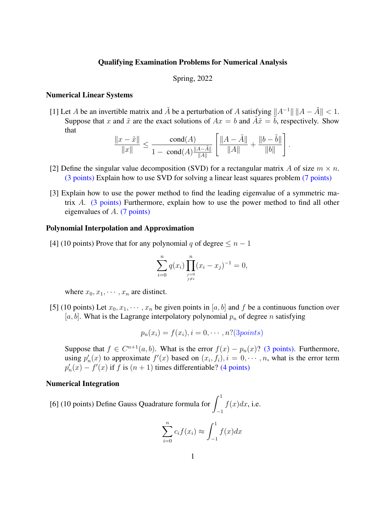### Qualifying Examination Problems for Numerical Analysis

### Spring, 2022

## Numerical Linear Systems

[1] Let A be an invertible matrix and  $\tilde{A}$  be a perturbation of A satisfying  $||A^{-1}|| ||A - \tilde{A}|| < 1$ . Suppose that x and  $\tilde{x}$  are the exact solutions of  $Ax = b$  and  $\tilde{A}\tilde{x} = \tilde{b}$ , respectively. Show that <u>г</u>

$$
\frac{\|x-\tilde x\|}{\|x\|}\leq \frac{\text{cond}(A)}{1-\text{cond}(A)\frac{\|A-\tilde A\|}{\|A\|}}\left[\frac{\|A-\tilde A\|}{\|A\|}+\frac{\|b-\tilde b\|}{\|b\|}\right].
$$

- [2] Define the singular value decomposition (SVD) for a rectangular matrix A of size  $m \times n$ . (3 points) Explain how to use SVD for solving a linear least squares problem (7 points)
- [3] Explain how to use the power method to find the leading eigenvalue of a symmetric matrix A. (3 points) Furthermore, explain how to use the power method to find all other eigenvalues of A. (7 points)

#### Polynomial Interpolation and Approximation

[4] (10 points) Prove that for any polynomial q of degree  $\leq n-1$ 

$$
\sum_{i=0}^{n} q(x_i) \prod_{\substack{j=0 \ j \neq i}}^{n} (x_i - x_j)^{-1} = 0,
$$

where  $x_0, x_1, \cdots, x_n$  are distinct.

[5] (10 points) Let  $x_0, x_1, \dots, x_n$  be given points in [a, b] and f be a continuous function over [a, b]. What is the Lagrange interpolatory polynomial  $p_n$  of degree n satisfying

$$
p_n(x_i) = f(x_i), i = 0, \cdots, n?(\text{3points})
$$

Suppose that  $f \in C^{n+1}(a, b)$ . What is the error  $f(x) - p_n(x)$ ? (3 points). Furthermore, using  $p'_n(x)$  to approximate  $f'(x)$  based on  $(x_i, f_i)$ ,  $i = 0, \dots, n$ , what is the error term  $p'_n(x) - f'(x)$  if f is  $(n + 1)$  times differentiable? (4 points)

## Numerical Integration

[6] (10 points) Define Gauss Quadrature formula for  $\int_1^1$ −1  $f(x)dx$ , i.e.

$$
\sum_{i=0}^{n} c_i f(x_i) \approx \int_{-1}^{1} f(x) dx
$$